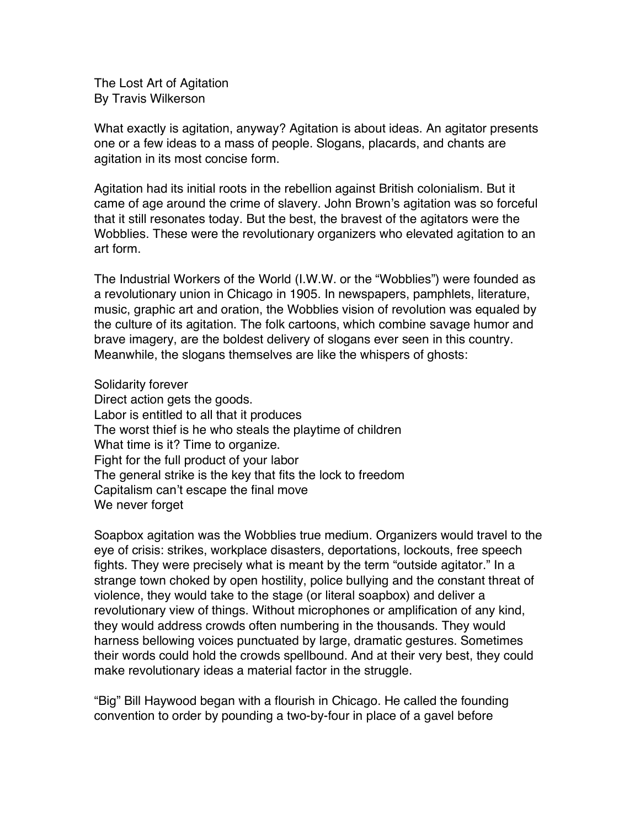The Lost Art of Agitation By Travis Wilkerson

What exactly is agitation, anyway? Agitation is about ideas. An agitator presents one or a few ideas to a mass of people. Slogans, placards, and chants are agitation in its most concise form.

Agitation had its initial roots in the rebellion against British colonialism. But it came of age around the crime of slavery. John Brown's agitation was so forceful that it still resonates today. But the best, the bravest of the agitators were the Wobblies. These were the revolutionary organizers who elevated agitation to an art form.

The Industrial Workers of the World (I.W.W. or the "Wobblies") were founded as a revolutionary union in Chicago in 1905. In newspapers, pamphlets, literature, music, graphic art and oration, the Wobblies vision of revolution was equaled by the culture of its agitation. The folk cartoons, which combine savage humor and brave imagery, are the boldest delivery of slogans ever seen in this country. Meanwhile, the slogans themselves are like the whispers of ghosts:

Solidarity forever

Direct action gets the goods. Labor is entitled to all that it produces The worst thief is he who steals the playtime of children What time is it? Time to organize. Fight for the full product of your labor The general strike is the key that fits the lock to freedom Capitalism can't escape the final move We never forget

Soapbox agitation was the Wobblies true medium. Organizers would travel to the eye of crisis: strikes, workplace disasters, deportations, lockouts, free speech fights. They were precisely what is meant by the term "outside agitator." In a strange town choked by open hostility, police bullying and the constant threat of violence, they would take to the stage (or literal soapbox) and deliver a revolutionary view of things. Without microphones or amplification of any kind, they would address crowds often numbering in the thousands. They would harness bellowing voices punctuated by large, dramatic gestures. Sometimes their words could hold the crowds spellbound. And at their very best, they could make revolutionary ideas a material factor in the struggle.

"Big" Bill Haywood began with a flourish in Chicago. He called the founding convention to order by pounding a two-by-four in place of a gavel before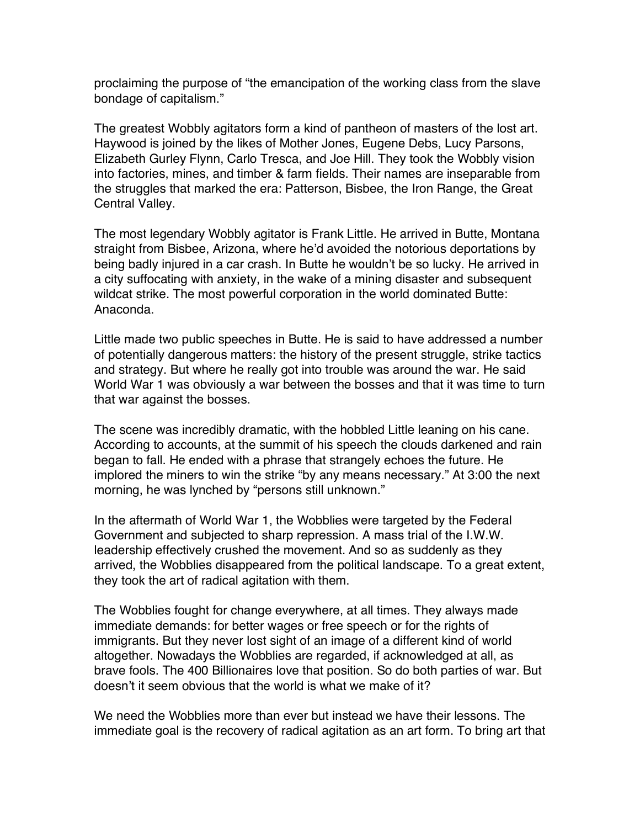proclaiming the purpose of "the emancipation of the working class from the slave bondage of capitalism."

The greatest Wobbly agitators form a kind of pantheon of masters of the lost art. Haywood is joined by the likes of Mother Jones, Eugene Debs, Lucy Parsons, Elizabeth Gurley Flynn, Carlo Tresca, and Joe Hill. They took the Wobbly vision into factories, mines, and timber & farm fields. Their names are inseparable from the struggles that marked the era: Patterson, Bisbee, the Iron Range, the Great Central Valley.

The most legendary Wobbly agitator is Frank Little. He arrived in Butte, Montana straight from Bisbee, Arizona, where he'd avoided the notorious deportations by being badly injured in a car crash. In Butte he wouldn't be so lucky. He arrived in a city suffocating with anxiety, in the wake of a mining disaster and subsequent wildcat strike. The most powerful corporation in the world dominated Butte: Anaconda.

Little made two public speeches in Butte. He is said to have addressed a number of potentially dangerous matters: the history of the present struggle, strike tactics and strategy. But where he really got into trouble was around the war. He said World War 1 was obviously a war between the bosses and that it was time to turn that war against the bosses.

The scene was incredibly dramatic, with the hobbled Little leaning on his cane. According to accounts, at the summit of his speech the clouds darkened and rain began to fall. He ended with a phrase that strangely echoes the future. He implored the miners to win the strike "by any means necessary." At 3:00 the next morning, he was lynched by "persons still unknown."

In the aftermath of World War 1, the Wobblies were targeted by the Federal Government and subjected to sharp repression. A mass trial of the I.W.W. leadership effectively crushed the movement. And so as suddenly as they arrived, the Wobblies disappeared from the political landscape. To a great extent, they took the art of radical agitation with them.

The Wobblies fought for change everywhere, at all times. They always made immediate demands: for better wages or free speech or for the rights of immigrants. But they never lost sight of an image of a different kind of world altogether. Nowadays the Wobblies are regarded, if acknowledged at all, as brave fools. The 400 Billionaires love that position. So do both parties of war. But doesn't it seem obvious that the world is what we make of it?

We need the Wobblies more than ever but instead we have their lessons. The immediate goal is the recovery of radical agitation as an art form. To bring art that